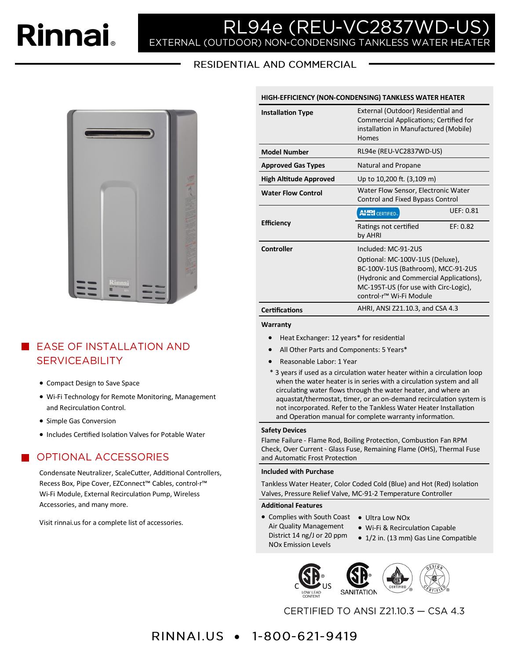# **Rinnai**

# RL94e (REU-VC2837WD-l EXTERNAL (OUTDOOR) NON-CONDENSING TANKLESS WATER HEATER

RESIDENTIAL AND COMMERCIAL



## **EXECUTE INSTALLATION AND SERVICEABILITY**

- Compact Design to Save Space
- Wi-Fi Technology for Remote Monitoring, Management and Recirculation Control.
- Simple Gas Conversion
- Includes Certified Isolation Valves for Potable Water

## **OPTIONAL ACCESSORIES**

Condensate Neutralizer, ScaleCutter, Additional Controllers, Recess Box, Pipe Cover, EZConnect™ Cables, control·r™ Wi-Fi Module, External Recirculation Pump, Wireless Accessories, and many more.

Visit rinnai.us for a complete list of accessories.

| HIGH-EFFICIENCY (NON-CONDENSING) TANKLESS WATER HEATER |  |
|--------------------------------------------------------|--|
|--------------------------------------------------------|--|

| <b>Installation Type</b>      | External (Outdoor) Residential and<br>Commercial Applications; Certified for<br>installation in Manufactured (Mobile)<br>Homes                                                                                          |           |
|-------------------------------|-------------------------------------------------------------------------------------------------------------------------------------------------------------------------------------------------------------------------|-----------|
| <b>Model Number</b>           | RL94e (REU-VC2837WD-US)                                                                                                                                                                                                 |           |
| <b>Approved Gas Types</b>     | Natural and Propane                                                                                                                                                                                                     |           |
| <b>High Altitude Approved</b> | Up to 10,200 ft. (3,109 m)                                                                                                                                                                                              |           |
| <b>Water Flow Control</b>     | Water Flow Sensor, Electronic Water<br>Control and Fixed Bypass Control                                                                                                                                                 |           |
|                               | <b>AHRI</b> CERTIFIED.                                                                                                                                                                                                  | UFF: 0.81 |
| <b>Efficiency</b>             | Ratings not certified<br>by AHRI                                                                                                                                                                                        | EF: 0.82  |
| Controller                    | Included: MC-91-2US<br>Optional: MC-100V-1US (Deluxe),<br>BC-100V-1US (Bathroom), MCC-91-2US<br>(Hydronic and Commercial Applications),<br>MC-195T-US (for use with Circ-Logic),<br>control·r <sup>™</sup> Wi-Fi Module |           |
|                               |                                                                                                                                                                                                                         |           |
| <b>Certifications</b>         | AHRI, ANSI Z21.10.3, and CSA 4.3                                                                                                                                                                                        |           |

**Warranty** 

- Heat Exchanger: 12 years\* for residential
- All Other Parts and Components: 5 Years\*
- Reasonable Labor: 1 Year
- \* 3 years if used as a circulation water heater within a circulation loop when the water heater is in series with a circulation system and all circulating water flows through the water heater, and where an aquastat/thermostat, timer, or an on-demand recirculation system is not incorporated. Refer to the Tankless Water Heater Installation and Operation manual for complete warranty information.

#### **Safety Devices**

Flame Failure - Flame Rod, Boiling Protection, Combustion Fan RPM Check, Over Current - Glass Fuse, Remaining Flame (OHS), Thermal Fuse and Automatic Frost Protection

#### **Included with Purchase**

Tankless Water Heater, Color Coded Cold (Blue) and Hot (Red) Isolation Valves, Pressure Relief Valve, MC-91-2 Temperature Controller

#### **Additional Features**

- Complies with South Coast Ultra Low NOx Air Quality Management District 14 ng/J or 20 ppm NOx Emission Levels
	- - Wi-Fi & Recirculation Capable
		- 1/2 in. (13 mm) Gas Line Compatible



CERTIFIED TO ANSI Z21.10.3 - CSA 4.3

# RINNAI.US • 1-800-621-9419